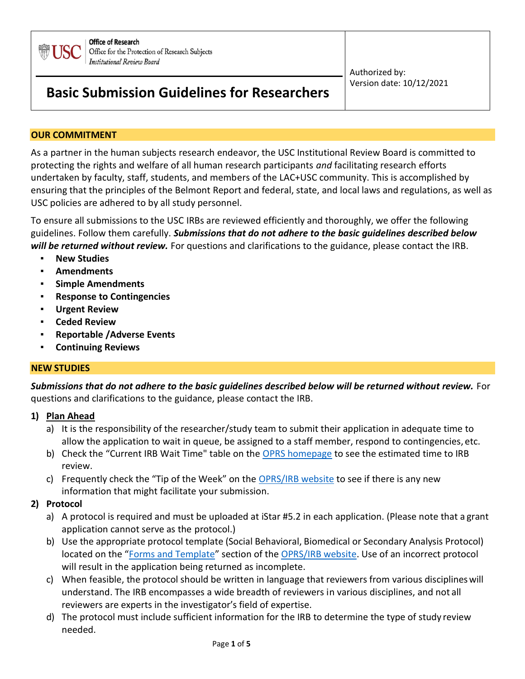

# **Basic Submission Guidelines for Researchers**

 Authorized by: Version date: 10/12/2021

### **OUR COMMITMENT**

As a partner in the human subjects research endeavor, the USC Institutional Review Board is committed to protecting the rights and welfare of all human research participants *and* facilitating research efforts undertaken by faculty, staff, students, and members of the LAC+USC community. This is accomplished by ensuring that the principles of the Belmont Report and federal, state, and local laws and regulations, as well as USC policies are adhered to by all study personnel.

To ensure all submissions to the USC IRBs are reviewed efficiently and thoroughly, we offer the following guidelines. Follow them carefully. *Submissions that do not adhere to the basic guidelines described below will be returned without review.* For questions and clarifications to the guidance, please contact the IRB.

- **New Studies**
- **Amendments**
- **Simple Amendments**
- **Response to Contingencies**
- **Urgent Review**
- **Ceded Review**
- **Reportable /Adverse Events**
- **Continuing Reviews**

### **NEW STUDIES**

*Submissions that do not adhere to the basic guidelines described below will be returned without review.* For questions and clarifications to the guidance, please contact the IRB.

### **1) Plan Ahead**

- a) It is the responsibility of the researcher/study team to submit their application in adequate time to allow the application to wait in queue, be assigned to a staff member, respond to contingencies, etc.
- b) Check the "Current IRB Wait Time" table on the [OPRS homepage](https://oprs.usc.edu/) to see the estimated time to IRB review.
- c) Frequently check the "Tip of the Week" on the [OPRS/IRB website](https://oprs.usc.edu/) to see if there is any new information that might facilitate your submission.

### **2) Protocol**

- a) A protocol is required and must be uploaded at iStar #5.2 in each application. (Please note that a grant application cannot serve as the protocol.)
- b) Use the appropriate protocol template (Social Behavioral, Biomedical or Secondary Analysis Protocol) located on the "[Forms and Template](https://oprs.usc.edu/forms-and-templates/)" section of the [OPRS/IRB website.](https://oprs.usc.edu/) Use of an incorrect protocol will result in the application being returned as incomplete.
- c) When feasible, the protocol should be written in language that reviewers from various disciplineswill understand. The IRB encompasses a wide breadth of reviewers in various disciplines, and not all reviewers are experts in the investigator's field of expertise.
- d) The protocol must include sufficient information for the IRB to determine the type of study review needed.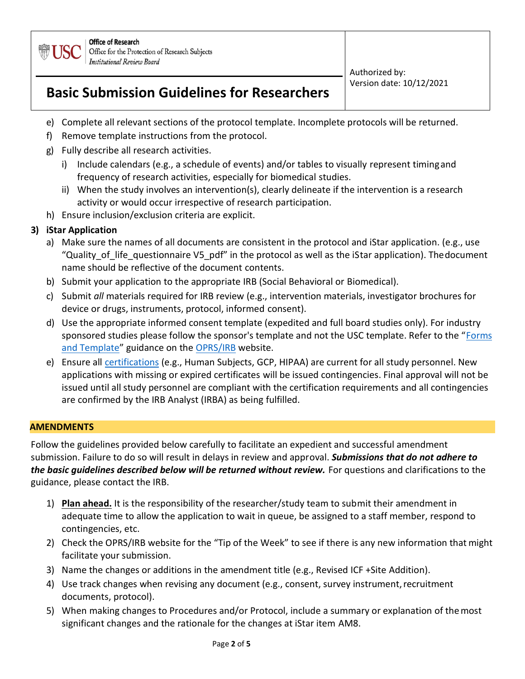

> Authorized by: Version date: 10/12/2021

# **Basic Submission Guidelines for Researchers**

- e) Complete all relevant sections of the protocol template. Incomplete protocols will be returned.
- f) Remove template instructions from the protocol.
- g) Fully describe all research activities.
	- i) Include calendars (e.g., a schedule of events) and/or tables to visually represent timing and frequency of research activities, especially for biomedical studies.
	- ii) When the study involves an intervention(s), clearly delineate if the intervention is a research activity or would occur irrespective of research participation.
- h) Ensure inclusion/exclusion criteria are explicit.

# **3) iStar Application**

- a) Make sure the names of all documents are consistent in the protocol and iStar application. (e.g., use "Quality of life questionnaire V5 pdf" in the protocol as well as the iStar application). The document name should be reflective of the document contents.
- b) Submit your application to the appropriate IRB (Social Behavioral or Biomedical).
- c) Submit *all* materials required for IRB review (e.g., intervention materials, investigator brochures for device or drugs, instruments, protocol, informed consent).
- d) Use the appropriate informed consent template (expedited and full board studies only). For industry sponsored studies please follow the sponsor's template and not the USC template. Refer to the "[Forms](https://oprs.usc.edu/forms-and-templates/) [and Template](https://oprs.usc.edu/forms-and-templates/)" guidance on the [OPRS/IRB](https://oprs.usc.edu/) website.
- e) Ensure all [certifications](https://oprs.usc.edu/education_certification/) (e.g., Human Subjects, GCP, HIPAA) are current for all study personnel. New applications with missing or expired certificates will be issued contingencies. Final approval will not be issued until all study personnel are compliant with the certification requirements and all contingencies are confirmed by the IRB Analyst (IRBA) as being fulfilled.

## **AMENDMENTS**

Follow the guidelines provided below carefully to facilitate an expedient and successful amendment submission. Failure to do so will result in delays in review and approval. *Submissions that do not adhere to*  **the basic guidelines described below will be returned without review.** For questions and clarifications to the guidance, please contact the IRB.

- 1) **Plan ahead.** It is the responsibility of the researcher/study team to submit their amendment in adequate time to allow the application to wait in queue, be assigned to a staff member, respond to contingencies, etc.
- 2) Check the OPRS/IRB website for the "Tip of the Week" to see if there is any new information that might facilitate your submission.
- 3) Name the changes or additions in the amendment title (e.g., Revised ICF +Site Addition).
- 4) Use track changes when revising any document (e.g., consent, survey instrument, recruitment documents, protocol).
- 5) When making changes to Procedures and/or Protocol, include a summary or explanation of themost significant changes and the rationale for the changes at iStar item AM8.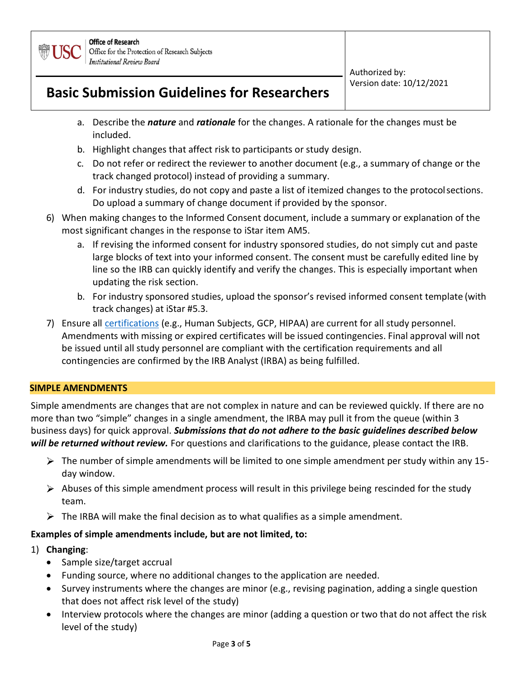

> Authorized by: Version date: 10/12/2021

# **Basic Submission Guidelines for Researchers**

- a. Describe the *nature* and *rationale* for the changes. A rationale for the changes must be included.
- b. Highlight changes that affect risk to participants or study design.
- c. Do not refer or redirect the reviewer to another document (e.g., a summary of change or the track changed protocol) instead of providing a summary.
- d. For industry studies, do not copy and paste a list of itemized changes to the protocolsections. Do upload a summary of change document if provided by the sponsor.
- 6) When making changes to the Informed Consent document, include a summary or explanation of the most significant changes in the response to iStar item AM5.
	- a. If revising the informed consent for industry sponsored studies, do not simply cut and paste large blocks of text into your informed consent. The consent must be carefully edited line by line so the IRB can quickly identify and verify the changes. This is especially important when updating the risk section.
	- b. For industry sponsored studies, upload the sponsor's revised informed consent template (with track changes) at iStar #5.3.
- 7) Ensure all [certifications](https://oprs.usc.edu/education_certification/) (e.g., Human Subjects, GCP, HIPAA) are current for all study personnel. Amendments with missing or expired certificates will be issued contingencies. Final approval will not be issued until all study personnel are compliant with the certification requirements and all contingencies are confirmed by the IRB Analyst (IRBA) as being fulfilled.

### **SIMPLE AMENDMENTS**

Simple amendments are changes that are not complex in nature and can be reviewed quickly. If there are no more than two "simple" changes in a single amendment, the IRBA may pull it from the queue (within 3 business days) for quick approval. *Submissions that do not adhere to the basic guidelines described below will be returned without review.* For questions and clarifications to the guidance, please contact the IRB.

- $\triangleright$  The number of simple amendments will be limited to one simple amendment per study within any 15day window.
- $\triangleright$  Abuses of this simple amendment process will result in this privilege being rescinded for the study team.
- $\triangleright$  The IRBA will make the final decision as to what qualifies as a simple amendment.

### **Examples of simple amendments include, but are not limited, to:**

- 1) **Changing**:
	- Sample size/target accrual
	- Funding source, where no additional changes to the application are needed.
	- Survey instruments where the changes are minor (e.g., revising pagination, adding a single question that does not affect risk level of the study)
	- Interview protocols where the changes are minor (adding a question or two that do not affect the risk level of the study)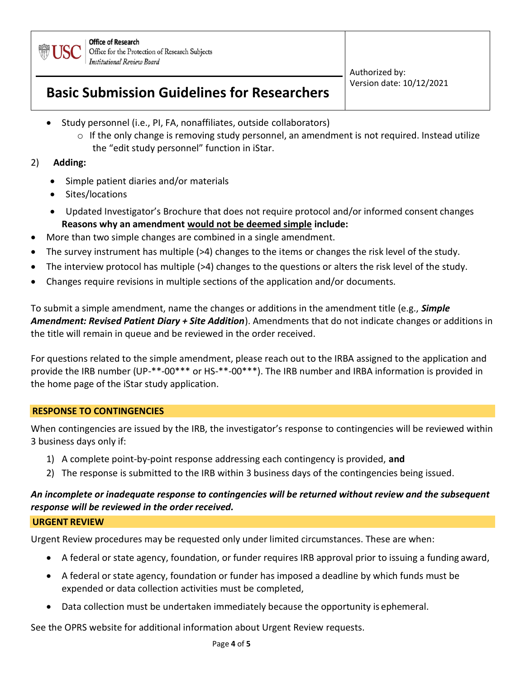

> Authorized by: Version date: 10/12/2021

# **Basic Submission Guidelines for Researchers**

- Study personnel (i.e., PI, FA, nonaffiliates, outside collaborators)
	- $\circ$  If the only change is removing study personnel, an amendment is not required. Instead utilize the "edit study personnel" function in iStar.

## 2) **Adding:**

- Simple patient diaries and/or materials
- Sites/locations
- Updated Investigator's Brochure that does not require protocol and/or informed consent changes **Reasons why an amendment would not be deemed simple include:**
- More than two simple changes are combined in a single amendment.
- The survey instrument has multiple (>4) changes to the items or changes the risk level of the study.
- The interview protocol has multiple (>4) changes to the questions or alters the risk level of the study.
- Changes require revisions in multiple sections of the application and/or documents.

To submit a simple amendment, name the changes or additions in the amendment title (e.g., *Simple Amendment: Revised Patient Diary + Site Addition*). Amendments that do not indicate changes or additions in the title will remain in queue and be reviewed in the order received.

For questions related to the simple amendment, please reach out to the IRBA assigned to the application and provide the IRB number (UP-\*\*-00\*\*\* or HS-\*\*-00\*\*\*). The IRB number and IRBA information is provided in the home page of the iStar study application.

## **RESPONSE TO CONTINGENCIES**

When contingencies are issued by the IRB, the investigator's response to contingencies will be reviewed within 3 business days only if:

- 1) A complete point-by-point response addressing each contingency is provided, **and**
- 2) The response is submitted to the IRB within 3 business days of the contingencies being issued.

## *An incomplete or inadequate response to contingencies will be returned without review and the subsequent response will be reviewed in the order received.*

### **URGENT REVIEW**

Urgent Review procedures may be requested only under limited circumstances. These are when:

- A federal or state agency, foundation, or funder requires IRB approval prior to issuing a funding award,
- A federal or state agency, foundation or funder has imposed a deadline by which funds must be expended or data collection activities must be completed,
- Data collection must be undertaken immediately because the opportunity is ephemeral.

See the OPRS website for additional information about Urgent Review requests.